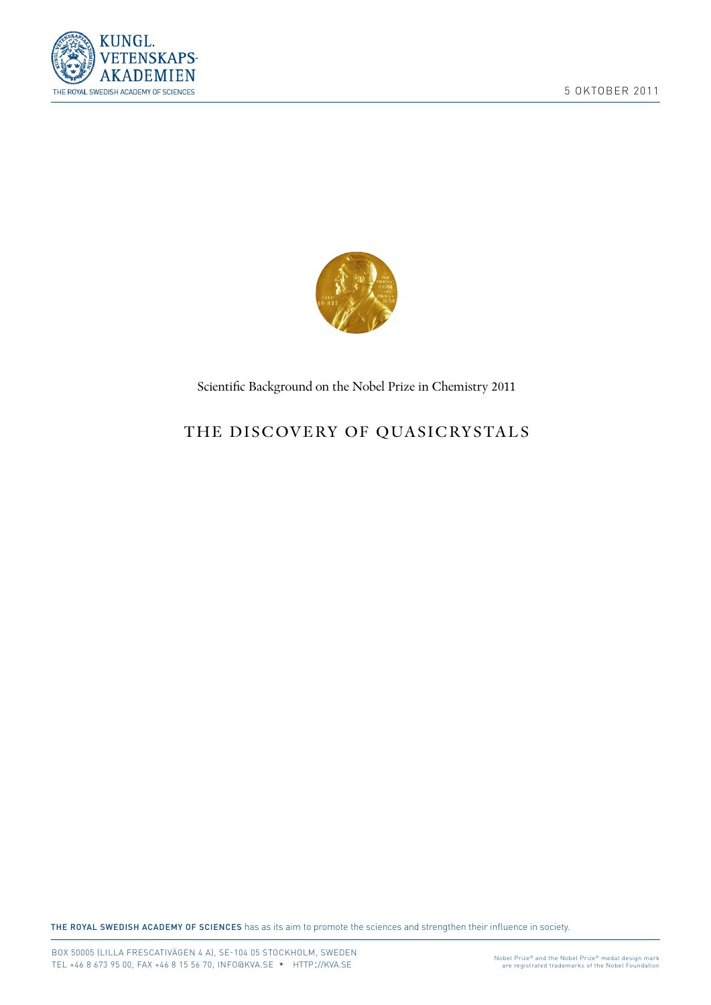



Scientifc Background on the Nobel Prize in Chemistry 2011

# THE DISCOVERY OF QUASICRYSTALS

THE ROYAL SWEDISH ACADEMY OF SCIENCES has as its aim to promote the sciences and strengthen their influence in society.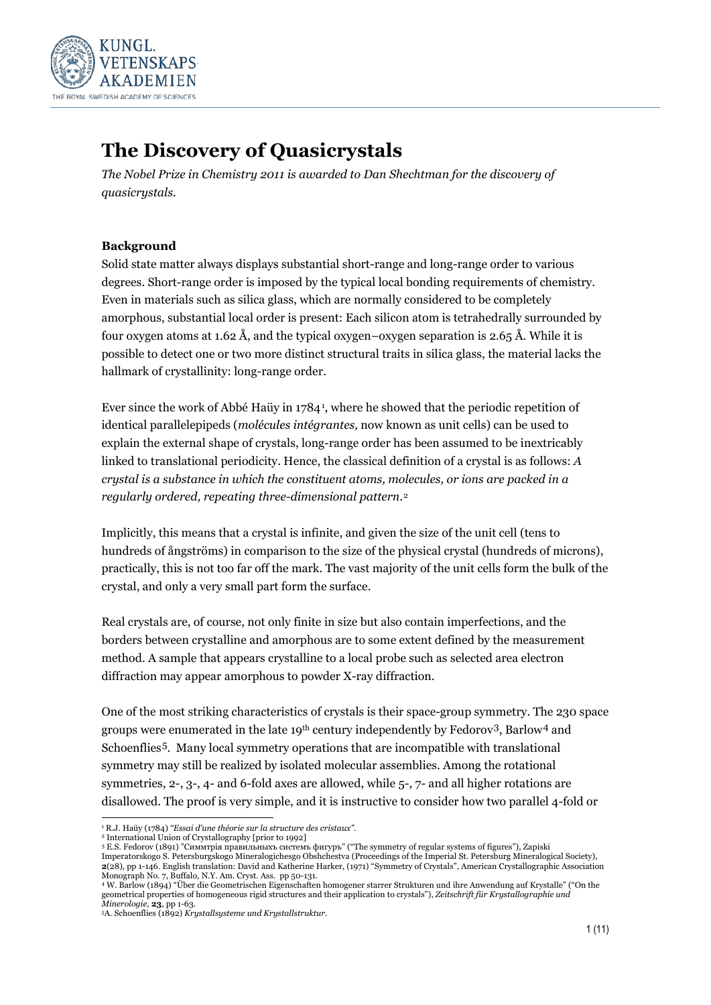

# **The Discovery of Quasicrystals**

*The Nobel Prize in Chemistry 2011 is awarded to Dan Shechtman for the discovery of quasicrystals.*

### **Background**

Solid state matter always displays substantial short-range and long-range order to various degrees. Short-range order is imposed by the typical local bonding requirements of chemistry. Even in materials such as silica glass, which are normally considered to be completely amorphous, substantial local order is present: Each silicon atom is tetrahedrally surrounded by four oxygen atoms at 1.62 Å, and the typical oxygen–oxygen separation is 2.65 Å. While it is possible to detect one or two more distinct structural traits in silica glass, the material lacks the hallmark of crystallinity: long-range order.

Ever since the work of Abbé Haüy in 1784[1](#page-2-0), where he showed that the periodic repetition of identical parallelepipeds (*molécules intégrantes,* now known as unit cells) can be used to explain the external shape of crystals, long-range order has been assumed to be inextricably linked to translational periodicity. Hence, the classical definition of a crystal is as follows: *A crystal is a substance in which the constituent [atoms,](http://chemistry.about.com/library/glossary/bldef500.htm) [molecules,](http://chemistry.about.com/od/chemistryglossary/g/moleculedef.htm) o[r ions](http://chemistry.about.com/od/chemistryglossary/a/iondefinition.htm) are packed in a regularly ordered, repeating three-dimensional pattern*.[2](#page-2-1)

Implicitly, this means that a crystal is infinite, and given the size of the unit cell (tens to hundreds of ångströms) in comparison to the size of the physical crystal (hundreds of microns), practically, this is not too far off the mark. The vast majority of the unit cells form the bulk of the crystal, and only a very small part form the surface.

Real crystals are, of course, not only finite in size but also contain imperfections, and the borders between crystalline and amorphous are to some extent defined by the measurement method. A sample that appears crystalline to a local probe such as selected area electron diffraction may appear amorphous to powder X-ray diffraction.

One of the most striking characteristics of crystals is their space-group symmetry. The 230 space groups were enumerated in the late 19<sup>th</sup> century independently by Fedorov<sup>[3](#page-2-2)</sup>, Barlow<sup>[4](#page-2-3)</sup> and Schoenflies[5](#page-2-4). Many local symmetry operations that are incompatible with translational symmetry may still be realized by isolated molecular assemblies. Among the rotational symmetries, 2-, 3-, 4- and 6-fold axes are allowed, while 5-, 7- and all higher rotations are disallowed. The proof is very simple, and it is instructive to consider how two parallel 4-fold or

Imperatorskogo S. Petersburgskogo Mineralogichesgo Obshchestva (Proceedings of the Imperial St. Petersburg Mineralogical Society), **2**(28), pp 1-146. English translation: David and Katherine Harker, (1971) "Symmetry of Crystals", American Crystallographic Association

<span id="page-2-0"></span> <sup>1</sup> R.J. Haüy (1784) *"Essai d'une théorie sur la structure des cristaux"*.

<sup>2</sup> International Union of Crystallography [prior to 1992]

<span id="page-2-2"></span><span id="page-2-1"></span><sup>3</sup> E.S. Fedorov (1891) "Симмтрія правильныхъ системъ фигуръ" ("The symmetry of regular systems of figures"), Zapiski

<span id="page-2-3"></span>Monograph No. 7, Buffalo, N.Y. Am. Cryst. Ass. pp 50-131.<br>4 W. Barlow (1894) "Über die Geometrischen Eigenschaften homogener starrer Strukturen und ihre Anwendung auf Krystalle" ("On the geometrical properties of homogeneous rigid structures and their application to crystals"), *Zeitschrift für Krystallographie und Minerologie*, **23**, pp 1-63.

<span id="page-2-4"></span><sup>5</sup>A. Schoenflies (1892) *Krystallsysteme und Krystallstruktur.*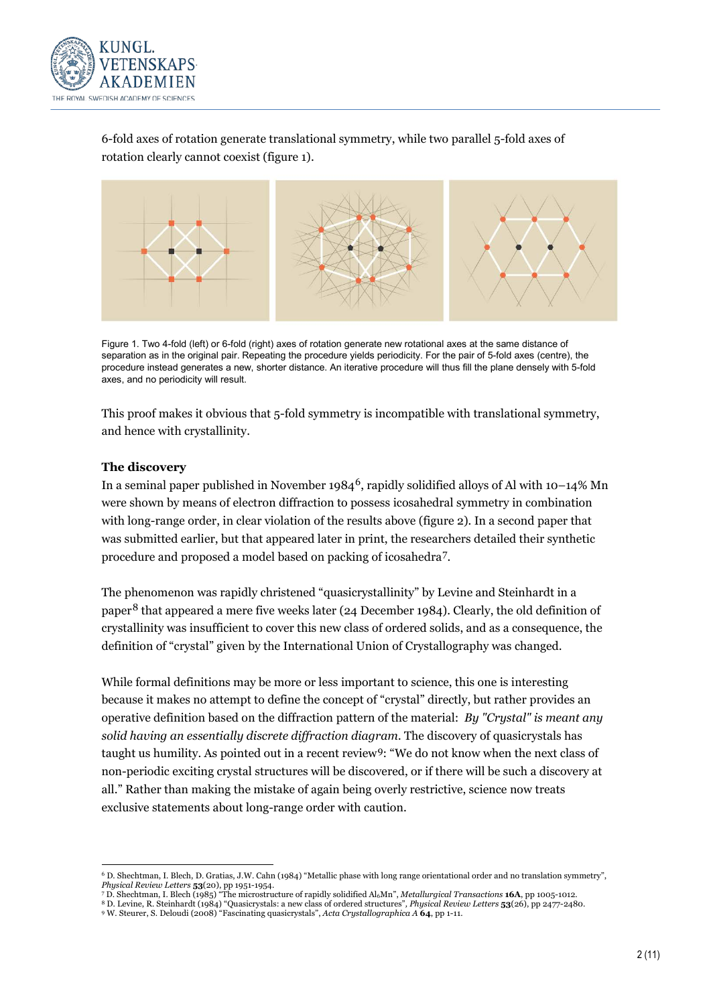

6-fold axes of rotation generate translational symmetry, while two parallel 5-fold axes of rotation clearly cannot coexist (figure 1).



Figure 1. Two 4-fold (left) or 6-fold (right) axes of rotation generate new rotational axes at the same distance of separation as in the original pair. Repeating the procedure yields periodicity. For the pair of 5-fold axes (centre), the procedure instead generates a new, shorter distance. An iterative procedure will thus fill the plane densely with 5-fold axes, and no periodicity will result.

This proof makes it obvious that 5-fold symmetry is incompatible with translational symmetry, and hence with crystallinity.

#### **The discovery**

In a seminal paper published in November 1984<sup>[6](#page-3-0)</sup>, rapidly solidified alloys of Al with 10–14% Mn were shown by means of electron diffraction to possess icosahedral symmetry in combination with long-range order, in clear violation of the results above (figure 2). In a second paper that was submitted earlier, but that appeared later in print, the researchers detailed their synthetic procedure and proposed a model based on packing of icosahedra[7.](#page-3-0)

The phenomenon was rapidly christened "quasicrystallinity" by Levine and Steinhardt in a paper[8](#page-3-0) that appeared a mere five weeks later (24 December 1984). Clearly, the old definition of crystallinity was insufficient to cover this new class of ordered solids, and as a consequence, the definition of "crystal" given by the International Union of Crystallography was changed.

While formal definitions may be more or less important to science, this one is interesting because it makes no attempt to define the concept of "crystal" directly, but rather provides an operative definition based on the diffraction pattern of the material: *By "Crystal" is meant any solid having an essentially discrete diffraction diagram.* The discovery of quasicrystals has taught us humility. As pointed out in a recent review[9:](#page-3-0) "We do not know when the next class of non-periodic exciting crystal structures will be discovered, or if there will be such a discovery at all." Rather than making the mistake of again being overly restrictive, science now treats exclusive statements about long-range order with caution.

 <sup>6</sup> D. Shechtman, I. Blech, D. Gratias, J.W. Cahn (1984) "Metallic phase with long range orientational order and no translation symmetry", *Physical Review Letters* **53**(20), pp 1951-1954. <sup>7</sup> D. Shechtman, I. Blech (1985) "The microstructure of rapidly solidified Al6Mn", *Metallurgical Transactions* **16A**, pp 1005-1012.

<span id="page-3-0"></span>

<sup>8</sup> D. Levine, R. Steinhardt (1984) "Quasicrystals: a new class of ordered structures"*, Physical Review Letters* **53**(26), pp 2477-2480.

<sup>9</sup> W. Steurer, S. Deloudi (2008) "Fascinating quasicrystals", *Acta Crystallographica A* **64**, pp 1-11.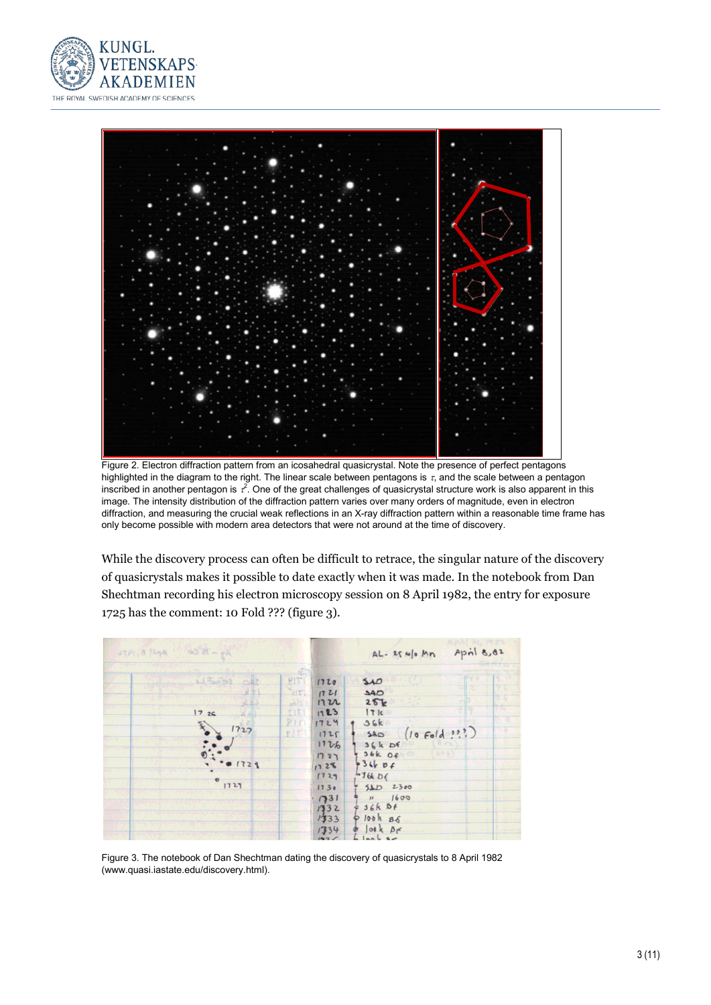



Figure 2. Electron diffraction pattern from an icosahedral quasicrystal. Note the presence of perfect pentagons highlighted in the diagram to the right. The linear scale between pentagons is  $\tau$ , and the scale between a pentagon inscribed in another pentagon is  $t^2$ . One of the great challenges of quasicrystal structure work is also apparent in this image. The intensity distribution of the diffraction pattern varies over many orders of magnitude, even in electron diffraction, and measuring the crucial weak reflections in an X-ray diffraction pattern within a reasonable time frame has only become possible with modern area detectors that were not around at the time of discovery.

While the discovery process can often be difficult to retrace, the singular nature of the discovery of quasicrystals makes it possible to date exactly when it was made. In the notebook from Dan Shechtman recording his electron microscopy session on 8 April 1982, the entry for exposure 1725 has the comment: 10 Fold ??? (figure 3).



Figure 3. The notebook of Dan Shechtman dating the discovery of quasicrystals to 8 April 1982 (www.quasi.iastate.edu/discovery.html).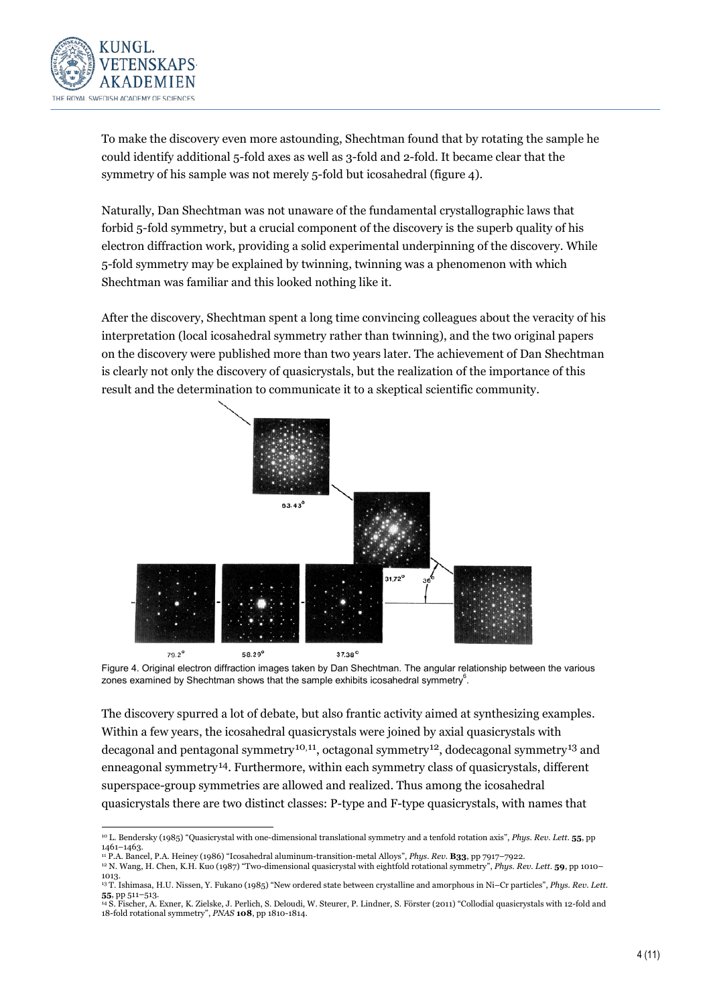

To make the discovery even more astounding, Shechtman found that by rotating the sample he could identify additional 5-fold axes as well as 3-fold and 2-fold. It became clear that the symmetry of his sample was not merely 5-fold but icosahedral (figure 4).

Naturally, Dan Shechtman was not unaware of the fundamental crystallographic laws that forbid 5-fold symmetry, but a crucial component of the discovery is the superb quality of his electron diffraction work, providing a solid experimental underpinning of the discovery. While 5-fold symmetry may be explained by twinning, twinning was a phenomenon with which Shechtman was familiar and this looked nothing like it.

After the discovery, Shechtman spent a long time convincing colleagues about the veracity of his interpretation (local icosahedral symmetry rather than twinning), and the two original papers on the discovery were published more than two years later. The achievement of Dan Shechtman is clearly not only the discovery of quasicrystals, but the realization of the importance of this result and the determination to communicate it to a skeptical scientific community.



Figure 4. Original electron diffraction images taken by Dan Shechtman. The angular relationship between the various zones examined by Shechtman shows that the sample exhibits icosahedral symmetry $^6$ .

The discovery spurred a lot of debate, but also frantic activity aimed at synthesizing examples. Within a few years, the icosahedral quasicrystals were joined by axial quasicrystals with decagonal and pentagonal symmetry<sup>10,11</sup>, octagonal symmetry<sup>12</sup>, dodecagonal symmetry<sup>[13](#page-5-0)</sup> and enneagonal symmetry[14](#page-5-0). Furthermore, within each symmetry class of quasicrystals, different superspace-group symmetries are allowed and realized. Thus among the icosahedral quasicrystals there are two distinct classes: P-type and F-type quasicrystals, with names that

<span id="page-5-0"></span> <sup>10</sup> L. Bendersky (1985) "Quasicrystal with one-dimensional translational symmetry and a tenfold rotation axis", *Phys. Rev. Lett*. **55**, pp 1461–1463.

<sup>11</sup> P.A. Bancel, P.A. Heiney (1986) "Icosahedral aluminum-transition-metal Alloys", *Phys. Rev*. **B33**, pp 7917–7922. <sup>12</sup> N. Wang, H. Chen, K.H. Kuo (1987) "Two-dimensional quasicrystal with eightfold rotational symmetry", *Phys. Rev. Lett*. **59**, pp 1010–

<sup>1013.</sup> <sup>13</sup> T. Ishimasa, H.U. Nissen, Y. Fukano (1985) "New ordered state between crystalline and amorphous in Ni–Cr particles", *Phys. Rev. Lett*. **55**, pp 511–513.

<sup>14</sup> S. Fischer, A. Exner, K. Zielske, J. Perlich, S. Deloudi, W. Steurer, P. Lindner, S. Förster (2011) "Collodial quasicrystals with 12-fold and 18-fold rotational symmetry", *PNAS* **108**, pp 1810-1814.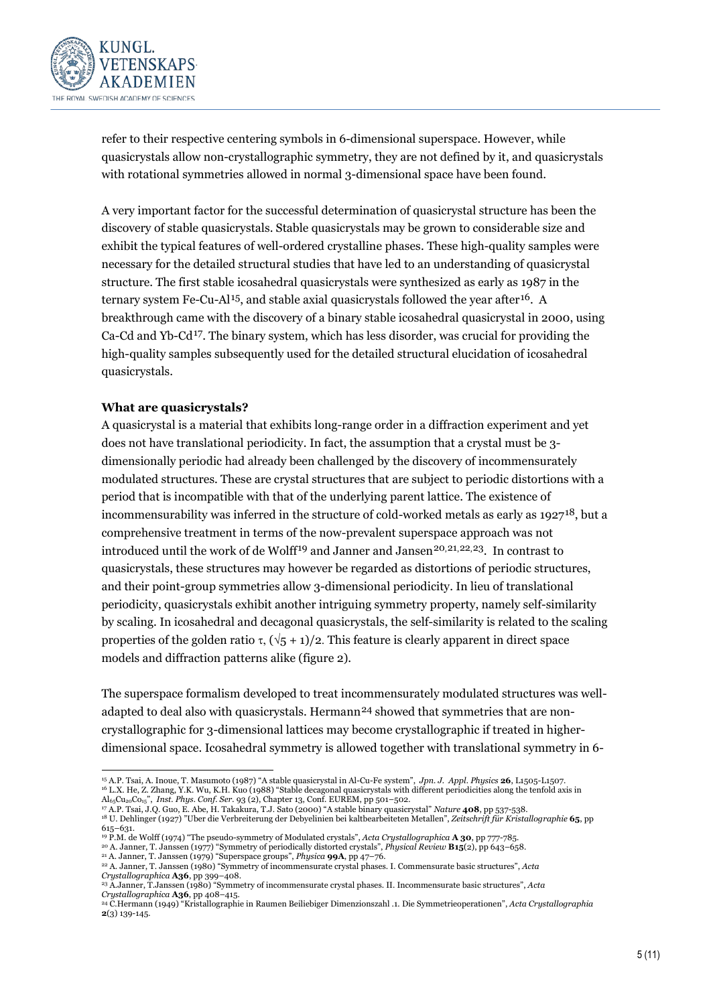

refer to their respective centering symbols in 6-dimensional superspace. However, while quasicrystals allow non-crystallographic symmetry, they are not defined by it, and quasicrystals with rotational symmetries allowed in normal 3-dimensional space have been found.

A very important factor for the successful determination of quasicrystal structure has been the discovery of stable quasicrystals. Stable quasicrystals may be grown to considerable size and exhibit the typical features of well-ordered crystalline phases. These high-quality samples were necessary for the detailed structural studies that have led to an understanding of quasicrystal structure. The first stable icosahedral quasicrystals were synthesized as early as 1987 in the ternary system Fe-Cu-Al<sup>[15](#page-6-0)</sup>, and stable axial quasicrystals followed the year after<sup>[16](#page-6-0)</sup>. A breakthrough came with the discovery of a binary stable icosahedral quasicrystal in 2000, using Ca-Cd and Yb-Cd<sup>17</sup>. The binary system, which has less disorder, was crucial for providing the high-quality samples subsequently used for the detailed structural elucidation of icosahedral quasicrystals.

#### **What are quasicrystals?**

A quasicrystal is a material that exhibits long-range order in a diffraction experiment and yet does not have translational periodicity. In fact, the assumption that a crystal must be 3 dimensionally periodic had already been challenged by the discovery of incommensurately modulated structures. These are crystal structures that are subject to periodic distortions with a period that is incompatible with that of the underlying parent lattice. The existence of incommensurability was inferred in the structure of cold-worked metals as early as 1927[18,](#page-6-0) but a comprehensive treatment in terms of the now-prevalent superspace approach was not introduced until the work of de Wolff<sup>[19](#page-6-0)</sup> and Janner and Jansen<sup>[20,21,22,23](#page-6-0)</sup>. In contrast to quasicrystals, these structures may however be regarded as distortions of periodic structures, and their point-group symmetries allow 3-dimensional periodicity. In lieu of translational periodicity, quasicrystals exhibit another intriguing symmetry property, namely self-similarity by scaling. In icosahedral and decagonal quasicrystals, the self-similarity is related to the scaling properties of the golden ratio τ,  $(\sqrt{5} + 1)/2$ . This feature is clearly apparent in direct space models and diffraction patterns alike (figure 2).

The superspace formalism developed to treat incommensurately modulated structures was well-adapted to deal also with quasicrystals. Hermann<sup>[24](#page-6-0)</sup> showed that symmetries that are noncrystallographic for 3-dimensional lattices may become crystallographic if treated in higherdimensional space. Icosahedral symmetry is allowed together with translational symmetry in 6-

- <sup>19</sup> P.M. de Wolff (1974) "The pseudo-symmetry of Modulated crystals", *Acta Crystallographica* **A 30**, pp 777-785.
- <sup>20</sup> A. Janner, T. Janssen (1977) "Symmetry of periodically distorted crystals", *Physical Review* **B15**(2), pp 643–658. <sup>21</sup> A. Janner, T. Janssen (1979) "Superspace groups", *Physica* **99A**, pp 47–76.

<span id="page-6-0"></span> <sup>15</sup> A.P. Tsai, A. Inoue, T. Masumoto (1987) "A stable quasicrystal in Al-Cu-Fe system", *Jpn. J. Appl. Physics* **<sup>26</sup>**, L1505-L1507. <sup>16</sup> L.X. He, Z. Zhang, Y.K. Wu, K.H. Kuo (1988) "Stable decagonal quasicrystals with different periodicities along the tenfold axis in

Al65Cu20Co15", *Inst. Phys. Conf. Ser.* 93 (2), Chapter 13, Conf. EUREM, pp 501–502. <sup>17</sup> A.P. Tsai, J.Q. Guo, E. Abe, H. Takakura, T.J. Sato (2000) "A stable binary quasicrystal" *Nature* **408**, pp 537-538.

<sup>18</sup> U. Dehlinger (1927) "Uber die Verbreiterung der Debyelinien bei kaltbearbeiteten Metallen", *Zeitschrift für Kristallographie* **65**, pp 615–631.

<sup>22</sup> A. Janner, T. Janssen (1980) "Symmetry of incommensurate crystal phases. I. Commensurate basic structures", *Acta* 

*Crystallographica A36, pp 399–408.*<br><sup>23</sup> A.Janner, T.Janssen (1980) "Symmetry of incommensurate crystal phases. II. Incommensurate basic structures", *Acta Crystallographica* **A36**, pp 408–415.

<sup>24</sup> C.Hermann (1949) "Kristallographie in Raumen Beiliebiger Dimenzionszahl .1. Die Symmetrieoperationen", *Acta Crystallographia* **2**(3) 139-145.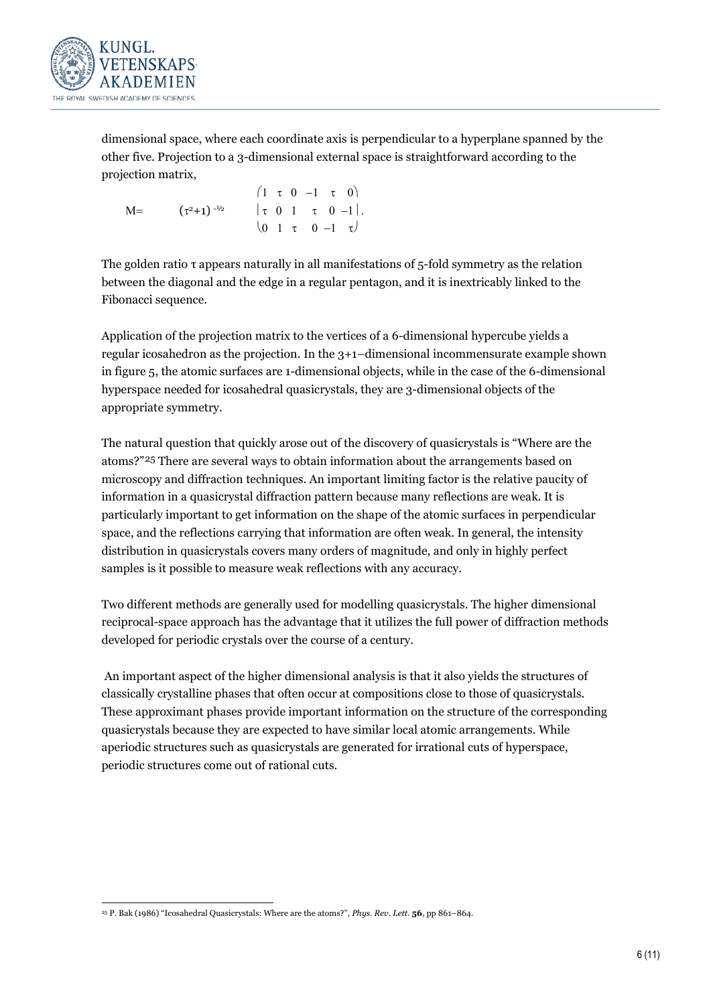

dimensional space, where each coordinate axis is perpendicular to a hyperplane spanned by the other five. Projection to a 3-dimensional external space is straightforward according to the projection matrix,

|      |                     |  |  | $(1 \tau 0 -1 \tau 0)$                                       |
|------|---------------------|--|--|--------------------------------------------------------------|
| $M=$ | $(\tau^2+1)^{-1/2}$ |  |  | $ \tau \ 0 \ 1 \ \tau \ 0 \ -1 .$                            |
|      |                     |  |  | $\begin{pmatrix} 0 & 1 & \tau & 0 & -1 & \tau \end{pmatrix}$ |

The golden ratio τ appears naturally in all manifestations of 5-fold symmetry as the relation between the diagonal and the edge in a regular pentagon, and it is inextricably linked to the Fibonacci sequence.

Application of the projection matrix to the vertices of a 6-dimensional hypercube yields a regular icosahedron as the projection. In the 3+1*–*dimensional incommensurate example shown in figure 5, the atomic surfaces are 1-dimensional objects, while in the case of the 6-dimensional hyperspace needed for icosahedral quasicrystals, they are 3-dimensional objects of the appropriate symmetry.

The natural question that quickly arose out of the discovery of quasicrystals is "Where are the atoms?"[25](#page-7-0) There are several ways to obtain information about the arrangements based on microscopy and diffraction techniques. An important limiting factor is the relative paucity of information in a quasicrystal diffraction pattern because many reflections are weak. It is particularly important to get information on the shape of the atomic surfaces in perpendicular space, and the reflections carrying that information are often weak. In general, the intensity distribution in quasicrystals covers many orders of magnitude, and only in highly perfect samples is it possible to measure weak reflections with any accuracy.

Two different methods are generally used for modelling quasicrystals. The higher dimensional reciprocal-space approach has the advantage that it utilizes the full power of diffraction methods developed for periodic crystals over the course of a century.

An important aspect of the higher dimensional analysis is that it also yields the structures of classically crystalline phases that often occur at compositions close to those of quasicrystals. These approximant phases provide important information on the structure of the corresponding quasicrystals because they are expected to have similar local atomic arrangements. While aperiodic structures such as quasicrystals are generated for irrational cuts of hyperspace, periodic structures come out of rational cuts.

<span id="page-7-0"></span> <sup>25</sup> P. Bak (1986) "Icosahedral Quasicrystals: Where are the atoms?", *Phys. Rev. Lett.* **<sup>56</sup>**, pp 861–864.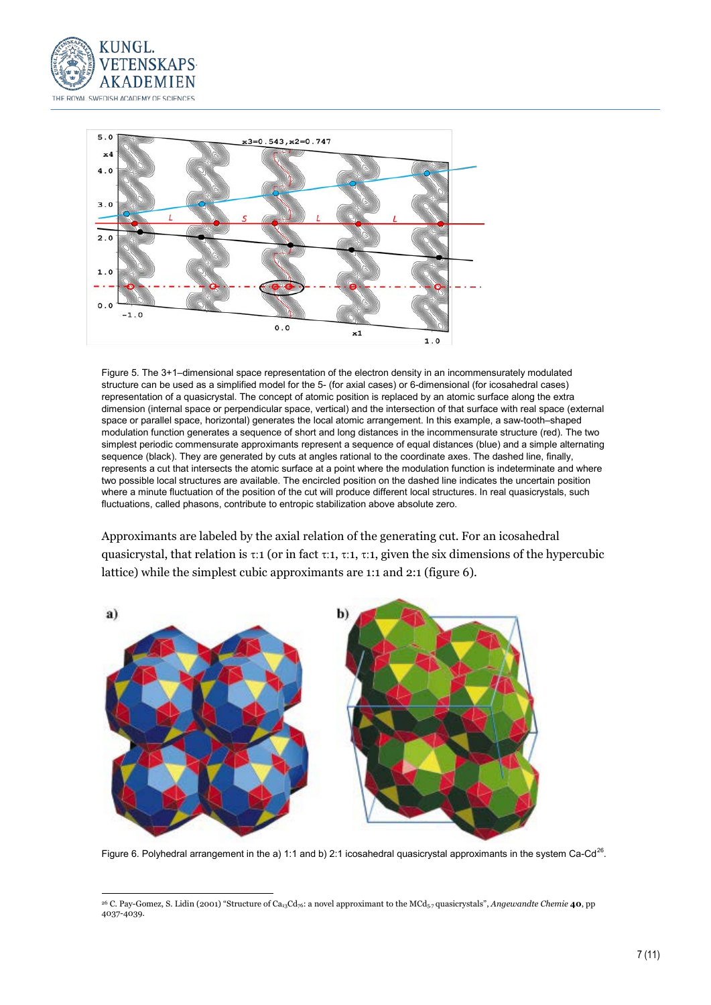



Figure 5. The 3+1–dimensional space representation of the electron density in an incommensurately modulated structure can be used as a simplified model for the 5- (for axial cases) or 6-dimensional (for icosahedral cases) representation of a quasicrystal. The concept of atomic position is replaced by an atomic surface along the extra dimension (internal space or perpendicular space, vertical) and the intersection of that surface with real space (external space or parallel space, horizontal) generates the local atomic arrangement. In this example, a saw-tooth–shaped modulation function generates a sequence of short and long distances in the incommensurate structure (red). The two simplest periodic commensurate approximants represent a sequence of equal distances (blue) and a simple alternating sequence (black). They are generated by cuts at angles rational to the coordinate axes. The dashed line, finally, represents a cut that intersects the atomic surface at a point where the modulation function is indeterminate and where two possible local structures are available. The encircled position on the dashed line indicates the uncertain position where a minute fluctuation of the position of the cut will produce different local structures. In real quasicrystals, such fluctuations, called phasons, contribute to entropic stabilization above absolute zero.

Approximants are labeled by the axial relation of the generating cut. For an icosahedral quasicrystal, that relation is  $\tau:1$  (or in fact  $\tau:1$ ,  $\tau:1$ ,  $\tau:1$ , given the six dimensions of the hypercubic lattice) while the simplest cubic approximants are 1:1 and 2:1 (figure 6).



Figure 6. Polyhedral arrangement in the a) 1:1 and b) 2:1 icosahedral quasicrystal approximants in the system Ca-Cd<sup>26</sup>.

<span id="page-8-0"></span> <sup>26</sup> C. Pay-Gomez, S. Lidin (2001) "Structure of Ca13Cd76: a novel approximant to the MCd5.7 quasicrystals", *Angewandte Chemie* **<sup>40</sup>**, pp 4037-4039.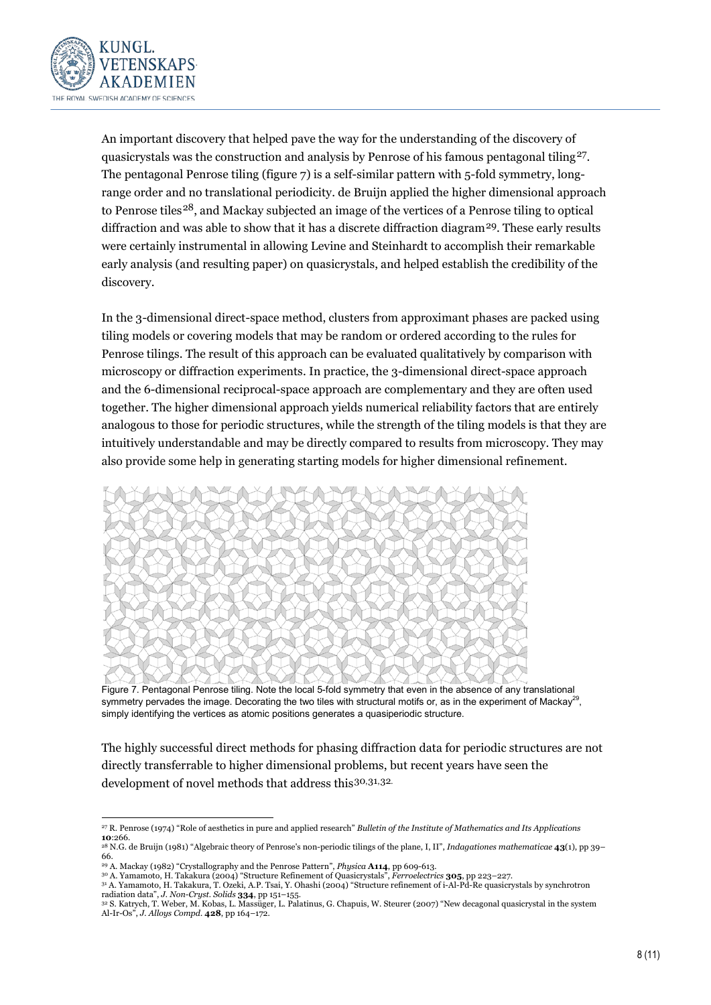

An important discovery that helped pave the way for the understanding of the discovery of quasicrystals was the construction and analysis by Penrose of his famous pentagonal tiling<sup>[27](#page-9-0)</sup>. The pentagonal Penrose tiling (figure 7) is a self-similar pattern with 5-fold symmetry, longrange order and no translational periodicity. de Bruijn applied the higher dimensional approach to Penrose tiles[28](#page-9-0), and Mackay subjected an image of the vertices of a Penrose tiling to optical diffraction and was able to show that it has a discrete diffraction diagram<sup>[29](#page-9-0)</sup>. These early results were certainly instrumental in allowing Levine and Steinhardt to accomplish their remarkable early analysis (and resulting paper) on quasicrystals, and helped establish the credibility of the discovery.

In the 3-dimensional direct-space method, clusters from approximant phases are packed using tiling models or covering models that may be random or ordered according to the rules for Penrose tilings. The result of this approach can be evaluated qualitatively by comparison with microscopy or diffraction experiments. In practice, the 3-dimensional direct-space approach and the 6-dimensional reciprocal-space approach are complementary and they are often used together. The higher dimensional approach yields numerical reliability factors that are entirely analogous to those for periodic structures, while the strength of the tiling models is that they are intuitively understandable and may be directly compared to results from microscopy. They may also provide some help in generating starting models for higher dimensional refinement.



Figure 7. Pentagonal Penrose tiling. Note the local 5-fold symmetry that even in the absence of any translational symmetry pervades the image. Decorating the two tiles with structural motifs or, as in the experiment of Mackay<sup>29</sup>, simply identifying the vertices as atomic positions generates a quasiperiodic structure.

The highly successful direct methods for phasing diffraction data for periodic structures are not directly transferrable to higher dimensional problems, but recent years have seen the development of novel methods that address this[30](#page-9-0),[31](#page-9-0),[32.](#page-9-0)

<span id="page-9-0"></span> <sup>27</sup> R. Penrose (1974) "Role of aesthetics in pure and applied research" *Bulletin of the Institute of Mathematics and Its Applications* **10**:266.

<sup>28</sup> N.G. de Bruijn (1981) "Algebraic theory of Penrose's non-periodic tilings of the plane, I, II", *Indagationes mathematicae* **43**(1), pp 39– 66.

<sup>29</sup> A. Mackay (1982) "Crystallography and the Penrose Pattern", *Physica* **A114**, pp 609-613.

<sup>&</sup>lt;sup>30</sup> A. Yamamoto, H. Takakura (2004) "Structure Refinement of Quasicrystals", *Ferroelectrics* **305**, pp 223–227.<br><sup>31</sup> A. Yamamoto, H. Takakura, T. Ozeki, A.P. Tsai, Y. Ohashi (2004) "Structure refinement of i-Al-Pd-Re qua radiation data", *J. Non-Cryst. Solids* **334**, pp 151–155.

<sup>32</sup> S. Katrych, T. Weber, M. Kobas, L. Massüger, L. Palatinus, G. Chapuis, W. Steurer (2007) "New decagonal quasicrystal in the system Al-Ir-Os", *J. Alloys Compd.* **428**, pp 164–172.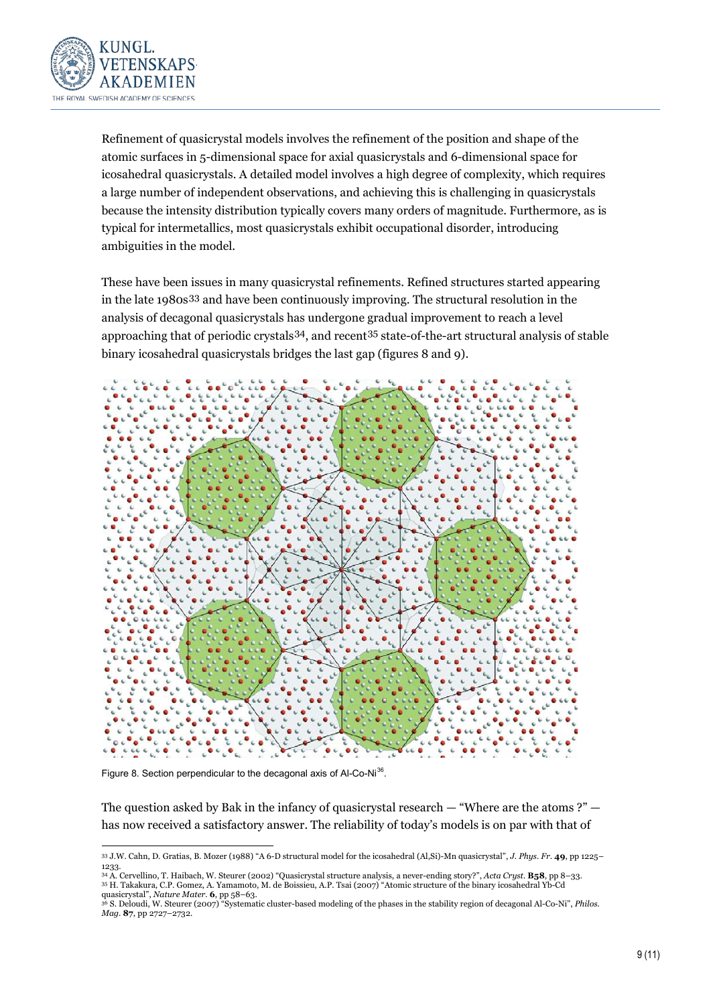

Refinement of quasicrystal models involves the refinement of the position and shape of the atomic surfaces in 5-dimensional space for axial quasicrystals and 6-dimensional space for icosahedral quasicrystals. A detailed model involves a high degree of complexity, which requires a large number of independent observations, and achieving this is challenging in quasicrystals because the intensity distribution typically covers many orders of magnitude. Furthermore, as is typical for intermetallics, most quasicrystals exhibit occupational disorder, introducing ambiguities in the model.

These have been issues in many quasicrystal refinements. Refined structures started appearing in the late 1980s[33](#page-10-0) and have been continuously improving. The structural resolution in the analysis of decagonal quasicrystals has undergone gradual improvement to reach a level approaching that of periodic crystals[34,](#page-10-0) and recent[35](#page-10-0) state-of-the-art structural analysis of stable binary icosahedral quasicrystals bridges the last gap (figures 8 and 9).



Figure 8. Section perpendicular to the decagonal axis of Al-Co-Ni<sup>[36](#page-10-0)</sup>.

The question asked by Bak in the infancy of quasicrystal research  $-$  "Where are the atoms ?"  $$ has now received a satisfactory answer. The reliability of today's models is on par with that of

<span id="page-10-0"></span> <sup>33</sup> J.W. Cahn, D. Gratias, B. Mozer (1988) "A 6-D structural model for the icosahedral (Al,Si)-Mn quasicrystal", *J. Phys. Fr*. **49**, pp 1225– 1233.

<sup>&</sup>lt;sup>34</sup> A. Cervellino, T. Haibach, W. Steurer (2002) "Quasicrystal structure analysis, a never-ending story?", *Acta Cryst*. **B58**, pp 8–33.<br><sup>35</sup> H. Takakura, C.P. Gomez, A. Yamamoto, M. de Boissieu, A.P. Tsai (2007) "Atomic quasicrystal", *Nature Mater*. **6**, pp 58–63.<br><sup>36</sup> S. Dalgard', *Mt.* 31

<sup>36</sup> S. Deloudi, W. Steurer (2007) "Systematic cluster-based modeling of the phases in the stability region of decagonal Al-Co-Ni", *Philos. Mag*. **87**, pp 2727–2732.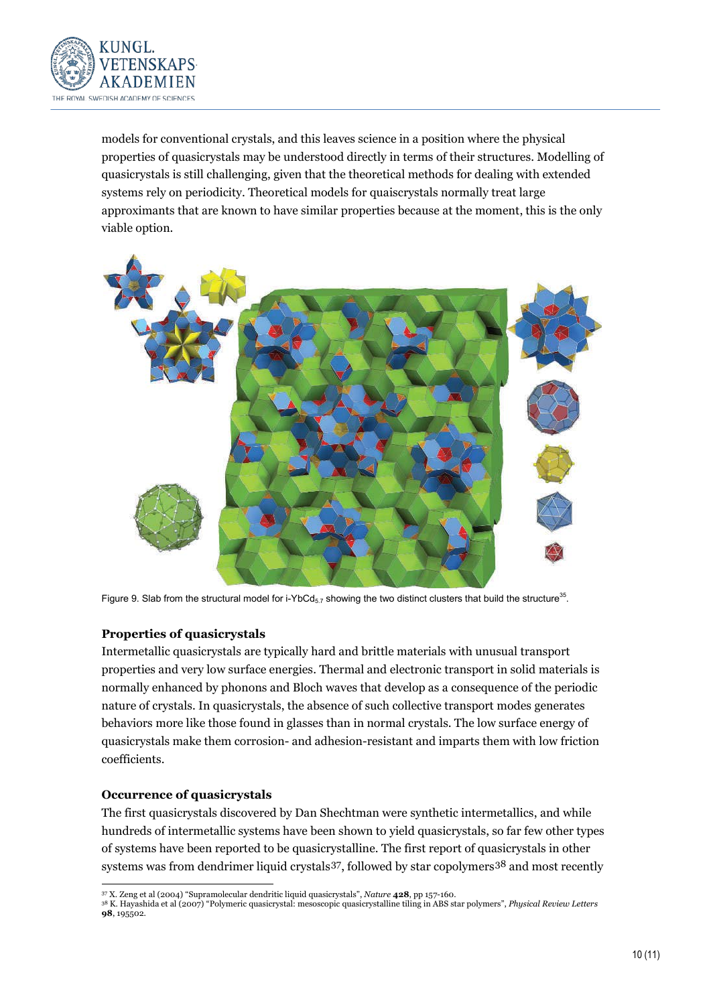

models for conventional crystals, and this leaves science in a position where the physical properties of quasicrystals may be understood directly in terms of their structures. Modelling of quasicrystals is still challenging, given that the theoretical methods for dealing with extended systems rely on periodicity. Theoretical models for quaiscrystals normally treat large approximants that are known to have similar properties because at the moment, this is the only viable option.



Figure 9. Slab from the structural model for i-YbCd<sub>5.7</sub> showing the two distinct clusters that build the structure<sup>35</sup>.

## **Properties of quasicrystals**

Intermetallic quasicrystals are typically hard and brittle materials with unusual transport properties and very low surface energies. Thermal and electronic transport in solid materials is normally enhanced by phonons and Bloch waves that develop as a consequence of the periodic nature of crystals. In quasicrystals, the absence of such collective transport modes generates behaviors more like those found in glasses than in normal crystals. The low surface energy of quasicrystals make them corrosion- and adhesion-resistant and imparts them with low friction coefficients.

#### **Occurrence of quasicrystals**

The first quasicrystals discovered by Dan Shechtman were synthetic intermetallics, and while hundreds of intermetallic systems have been shown to yield quasicrystals, so far few other types of systems have been reported to be quasicrystalline. The first report of quasicrystals in other systems was from dendrimer liquid crystals  $37$ , followed by star copolymers  $38$  and most recently

<span id="page-11-0"></span><sup>38</sup> K. Hayashida et al (2007) "Polymeric quasicrystal: mesoscopic quasicrystalline tiling in ABS star polymers", *Physical Review Letters* **98**, 195502.

 <sup>37</sup> X. Zeng et al (2004) "Supramolecular dendritic liquid quasicrystals", *Nature* **<sup>428</sup>**, pp 157-160.